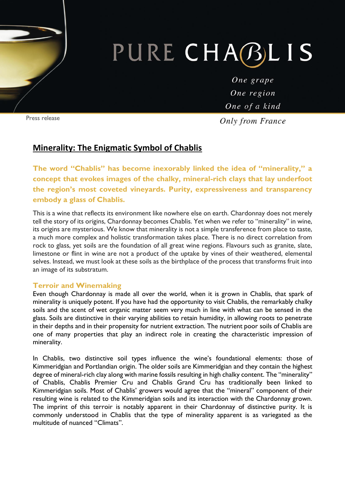# PURE CHABLIS

One grape One region One of a kind

**Only from France** 

## **Minerality: The Enigmatic Symbol of Chablis**

**The word "Chablis" has become inexorably linked the idea of "minerality," a concept that evokes images of the chalky, mineral-rich clays that lay underfoot the region's most coveted vineyards. Purity, expressiveness and transparency embody a glass of Chablis.** 

This is a wine that reflects its environment like nowhere else on earth. Chardonnay does not merely tell the story of its origins, Chardonnay becomes Chablis. Yet when we refer to "minerality" in wine, its origins are mysterious. We know that minerality is not a simple transference from place to taste, a much more complex and holistic transformation takes place. There is no direct correlation from rock to glass, yet soils are the foundation of all great wine regions. Flavours such as granite, slate, limestone or flint in wine are not a product of the uptake by vines of their weathered, elemental selves. Instead, we must look at these soils as the birthplace of the process that transforms fruit into an image of its substratum.

### **Terroir and Winemaking**

Even though Chardonnay is made all over the world, when it is grown in Chablis, that spark of minerality is uniquely potent. If you have had the opportunity to visit Chablis, the remarkably chalky soils and the scent of wet organic matter seem very much in line with what can be sensed in the glass. Soils are distinctive in their varying abilities to retain humidity, in allowing roots to penetrate in their depths and in their propensity for nutrient extraction. The nutrient poor soils of Chablis are one of many properties that play an indirect role in creating the characteristic impression of minerality.

In Chablis, two distinctive soil types influence the wine's foundational elements: those of Kimmeridgian and Portlandian origin. The older soils are Kimmeridgian and they contain the highest degree of mineral-rich clay along with marine fossils resulting in high chalky content. The "minerality" of Chablis, Chablis Premier Cru and Chablis Grand Cru has traditionally been linked to Kimmeridgian soils. Most of Chablis' growers would agree that the "mineral" component of their resulting wine is related to the Kimmeridgian soils and its interaction with the Chardonnay grown. The imprint of this terroir is notably apparent in their Chardonnay of distinctive purity. It is commonly understood in Chablis that the type of minerality apparent is as variegated as the multitude of nuanced "Climats".

Press release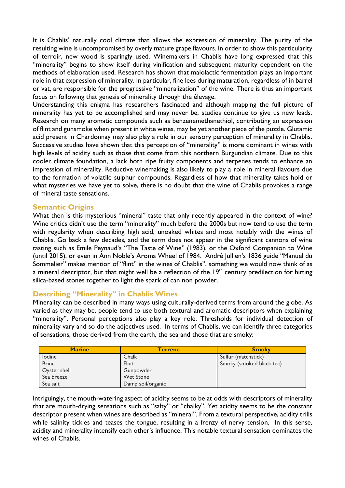It is Chablis' naturally cool climate that allows the expression of minerality. The purity of the resulting wine is uncompromised by overly mature grape flavours. In order to show this particularity of terroir, new wood is sparingly used. Winemakers in Chablis have long expressed that this "minerality" begins to show itself during vinification and subsequent maturity dependent on the methods of elaboration used. Research has shown that malolactic fermentation plays an important role in that expression of minerality. In particular, fine lees during maturation, regardless of in barrel or vat, are responsible for the progressive "mineralization" of the wine. There is thus an important focus on following that genesis of minerality through the élevage.

Understanding this enigma has researchers fascinated and although mapping the full picture of minerality has yet to be accomplished and may never be, studies continue to give us new leads. Research on many aromatic compounds such as benzenemethanethiol, contributing an expression of flint and gunsmoke when present in white wines, may be yet another piece of the puzzle. Glutamic acid present in Chardonnay may also play a role in our sensory perception of minerality in Chablis. Successive studies have shown that this perception of "minerality" is more dominant in wines with high levels of acidity such as those that come from this northern Burgundian climate. Due to this cooler climate foundation, a lack both ripe fruity components and terpenes tends to enhance an impression of minerality. Reductive winemaking is also likely to play a role in mineral flavours due to the formation of volatile sulphur compounds. Regardless of how that minerality takes hold or what mysteries we have yet to solve, there is no doubt that the wine of Chablis provokes a range of mineral taste sensations.

### **Semantic Origins**

What then is this mysterious "mineral" taste that only recently appeared in the context of wine? Wine critics didn't use the term "minerality" much before the 2000s but now tend to use the term with regularity when describing high acid, unoaked whites and most notably with the wines of Chablis. Go back a few decades, and the term does not appear in the significant cannons of wine tasting such as Emile Peynaud's "The Taste of Wine" (1983), or the Oxford Companion to Wine (until 2015), or even in Ann Noble's Aroma Wheel of 1984. André Jullien's 1836 guide "Manuel du Sommelier" makes mention of "flint" in the wines of Chablis", something we would now think of as a mineral descriptor, but that might well be a reflection of the  $19<sup>th</sup>$  century predilection for hitting silica-based stones together to light the spark of can non powder.

### **Describing "Minerality" in Chablis Wines**

Minerality can be described in many ways using culturally-derived terms from around the globe. As varied as they may be, people tend to use both textural and aromatic descriptors when explaining "minerality". Personal perceptions also play a key role. Thresholds for individual detection of minerality vary and so do the adjectives used. In terms of Chablis, we can identify three categories of sensations, those derived from the earth, the sea and those that are smoky:

| <b>Marine</b> | <b>Terrene</b>    | <b>Smoky</b>             |
|---------------|-------------------|--------------------------|
| lodine        | Chalk             | Sulfur (matchstick)      |
| <b>Brine</b>  | Flint             | Smoky (smoked black tea) |
| Oyster shell  | Gunpowder         |                          |
| Sea breeze    | <b>Wet Stone</b>  |                          |
| Sea salt      | Damp soil/organic |                          |

Intriguingly, the mouth-watering aspect of acidity seems to be at odds with descriptors of minerality that are mouth-drying sensations such as "salty" or "chalky". Yet acidity seems to be the constant descriptor present when wines are described as "mineral". From a textural perspective, acidity trills while salinity tickles and teases the tongue, resulting in a frenzy of nervy tension. In this sense, acidity and minerality intensify each other's influence. This notable textural sensation dominates the wines of Chablis.